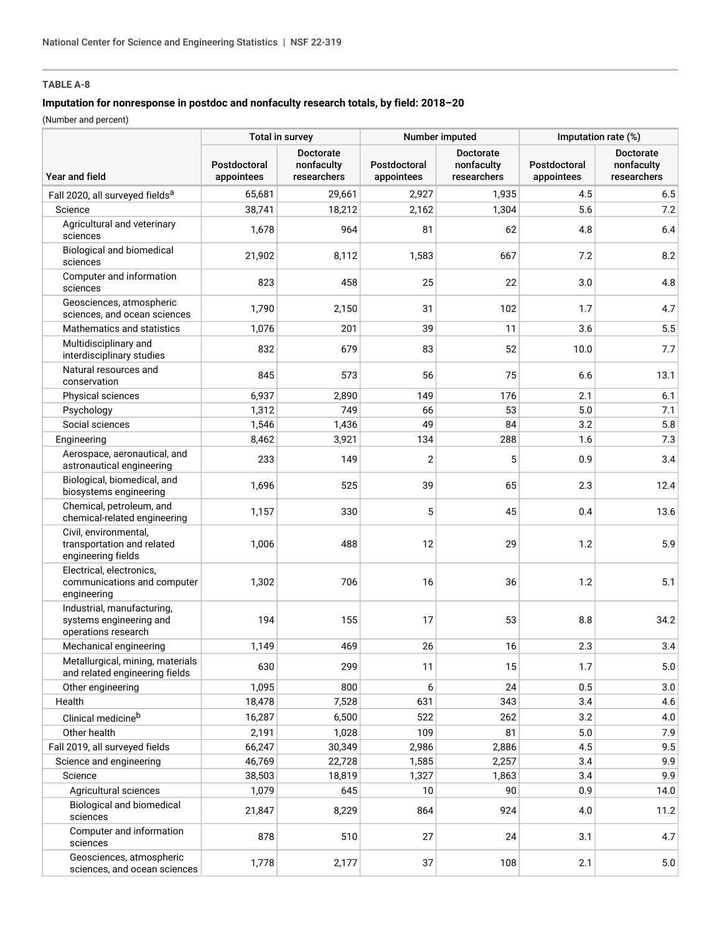# **TABLE A-8**

## **Imputation for nonresponse in postdoc and nonfaculty research totals, by field: 2018–20**

(Number and percent)

|                                                                              | Total in survey            |                                               | Number imputed             |                                               | Imputation rate (%)        |                                        |
|------------------------------------------------------------------------------|----------------------------|-----------------------------------------------|----------------------------|-----------------------------------------------|----------------------------|----------------------------------------|
| <b>Year and field</b>                                                        | Postdoctoral<br>appointees | <b>Doctorate</b><br>nonfaculty<br>researchers | Postdoctoral<br>appointees | <b>Doctorate</b><br>nonfaculty<br>researchers | Postdoctoral<br>appointees | Doctorate<br>nonfaculty<br>researchers |
| Fall 2020, all surveyed fields <sup>a</sup>                                  | 65,681                     | 29,661                                        | 2,927                      | 1,935                                         | 4.5                        | 6.5                                    |
| Science                                                                      | 38,741                     | 18,212                                        | 2,162                      | 1,304                                         | 5.6                        | 7.2                                    |
| Agricultural and veterinary<br>sciences                                      | 1,678                      | 964                                           | 81                         | 62                                            | 4.8                        | 6.4                                    |
| <b>Biological and biomedical</b><br>sciences                                 | 21,902                     | 8,112                                         | 1,583                      | 667                                           | 7.2                        | 8.2                                    |
| Computer and information<br>sciences                                         | 823                        | 458                                           | 25                         | 22                                            | 3.0                        | 4.8                                    |
| Geosciences, atmospheric<br>sciences, and ocean sciences                     | 1,790                      | 2,150                                         | 31                         | 102                                           | 1.7                        | 4.7                                    |
| Mathematics and statistics                                                   | 1,076                      | 201                                           | 39                         | 11                                            | 3.6                        | 5.5                                    |
| Multidisciplinary and<br>interdisciplinary studies                           | 832                        | 679                                           | 83                         | 52                                            | 10.0                       | 7.7                                    |
| Natural resources and<br>conservation                                        | 845                        | 573                                           | 56                         | 75                                            | 6.6                        | 13.1                                   |
| Physical sciences                                                            | 6,937                      | 2,890                                         | 149                        | 176                                           | 2.1                        | 6.1                                    |
| Psychology                                                                   | 1,312                      | 749                                           | 66                         | 53                                            | 5.0                        | 7.1                                    |
| Social sciences                                                              | 1,546                      | 1,436                                         | 49                         | 84                                            | 3.2                        | 5.8                                    |
| Engineering                                                                  | 8,462                      | 3,921                                         | 134                        | 288                                           | 1.6                        | 7.3                                    |
| Aerospace, aeronautical, and<br>astronautical engineering                    | 233                        | 149                                           | $\overline{2}$             | 5                                             | 0.9                        | 3.4                                    |
| Biological, biomedical, and<br>biosystems engineering                        | 1,696                      | 525                                           | 39                         | 65                                            | 2.3                        | 12.4                                   |
| Chemical, petroleum, and<br>chemical-related engineering                     | 1,157                      | 330                                           | 5                          | 45                                            | 0.4                        | 13.6                                   |
| Civil, environmental,<br>transportation and related<br>engineering fields    | 1,006                      | 488                                           | 12                         | 29                                            | 1.2                        | 5.9                                    |
| Electrical, electronics,<br>communications and computer<br>engineering       | 1,302                      | 706                                           | 16                         | 36                                            | 1.2                        | 5.1                                    |
| Industrial, manufacturing,<br>systems engineering and<br>operations research | 194                        | 155                                           | 17                         | 53                                            | 8.8                        | 34.2                                   |
| Mechanical engineering                                                       | 1,149                      | 469                                           | 26                         | 16                                            | 2.3                        | 3.4                                    |
| Metallurgical, mining, materials<br>and related engineering fields           | 630                        | 299                                           | 11                         | 15                                            | 1.7                        | $5.0\,$                                |
| Other engineering                                                            | 1,095                      | 800                                           | 6                          | 24                                            | 0.5                        | 3.0                                    |
| Health                                                                       | 18,478                     | 7,528                                         | 631                        | 343                                           | 3.4                        | 4.6                                    |
| Clinical medicineb                                                           | 16,287                     | 6,500                                         | 522                        | 262                                           | 3.2                        | 4.0                                    |
| Other health                                                                 | 2,191                      | 1,028                                         | 109                        | 81                                            | 5.0                        | 7.9                                    |
| Fall 2019, all surveyed fields                                               | 66,247                     | 30,349                                        | 2,986                      | 2,886                                         | 4.5                        | 9.5                                    |
| Science and engineering                                                      | 46,769                     | 22,728                                        | 1,585                      | 2,257                                         | 3.4                        | 9.9                                    |
| Science                                                                      | 38,503                     | 18,819                                        | 1,327                      | 1,863                                         | 3.4                        | 9.9                                    |
| Agricultural sciences                                                        | 1,079                      | 645                                           | 10                         | 90                                            | 0.9                        | 14.0                                   |
| Biological and biomedical<br>sciences                                        | 21,847                     | 8,229                                         | 864                        | 924                                           | 4.0                        | 11.2                                   |
| Computer and information<br>sciences                                         | 878                        | 510                                           | 27                         | 24                                            | 3.1                        | 4.7                                    |
| Geosciences, atmospheric<br>sciences, and ocean sciences                     | 1,778                      | 2,177                                         | 37                         | 108                                           | 2.1                        | $5.0\,$                                |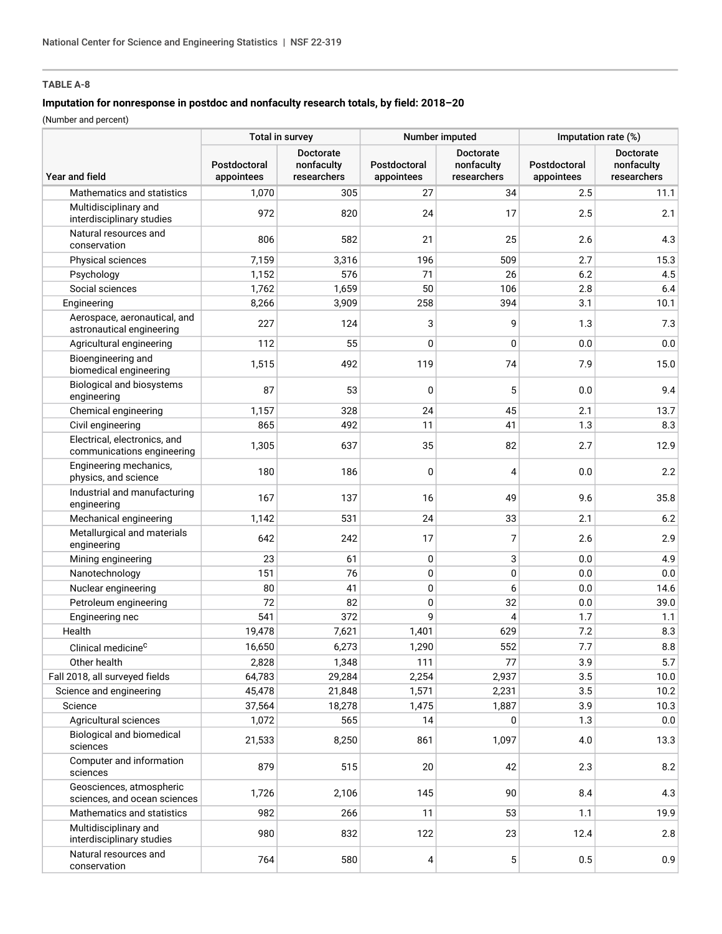# **TABLE A-8**

## **Imputation for nonresponse in postdoc and nonfaculty research totals, by field: 2018–20**

(Number and percent)

|                                                            | Total in survey<br>Number imputed |                                               |                            | Imputation rate (%)                           |                            |                                               |
|------------------------------------------------------------|-----------------------------------|-----------------------------------------------|----------------------------|-----------------------------------------------|----------------------------|-----------------------------------------------|
| Year and field                                             | Postdoctoral<br>appointees        | <b>Doctorate</b><br>nonfaculty<br>researchers | Postdoctoral<br>appointees | <b>Doctorate</b><br>nonfaculty<br>researchers | Postdoctoral<br>appointees | <b>Doctorate</b><br>nonfaculty<br>researchers |
| Mathematics and statistics                                 | 1,070                             | 305                                           | 27                         | 34                                            | 2.5                        | 11.1                                          |
| Multidisciplinary and<br>interdisciplinary studies         | 972                               | 820                                           | 24                         | 17                                            | 2.5                        | 2.1                                           |
| Natural resources and<br>conservation                      | 806                               | 582                                           | 21                         | 25                                            | 2.6                        | 4.3                                           |
| Physical sciences                                          | 7,159                             | 3,316                                         | 196                        | 509                                           | 2.7                        | 15.3                                          |
| Psychology                                                 | 1,152                             | 576                                           | 71                         | 26                                            | 6.2                        | 4.5                                           |
| Social sciences                                            | 1,762                             | 1,659                                         | 50                         | 106                                           | 2.8                        | 6.4                                           |
| Engineering                                                | 8,266                             | 3,909                                         | 258                        | 394                                           | 3.1                        | 10.1                                          |
| Aerospace, aeronautical, and<br>astronautical engineering  | 227                               | 124                                           | 3                          | 9                                             | 1.3                        | 7.3                                           |
| Agricultural engineering                                   | 112                               | 55                                            | 0                          | 0                                             | 0.0                        | 0.0                                           |
| Bioengineering and<br>biomedical engineering               | 1,515                             | 492                                           | 119                        | 74                                            | 7.9                        | 15.0                                          |
| <b>Biological and biosystems</b><br>engineering            | 87                                | 53                                            | 0                          | 5                                             | 0.0                        | 9.4                                           |
| Chemical engineering                                       | 1,157                             | 328                                           | 24                         | 45                                            | 2.1                        | 13.7                                          |
| Civil engineering                                          | 865                               | 492                                           | 11                         | 41                                            | 1.3                        | 8.3                                           |
| Electrical, electronics, and<br>communications engineering | 1,305                             | 637                                           | 35                         | 82                                            | 2.7                        | 12.9                                          |
| Engineering mechanics,<br>physics, and science             | 180                               | 186                                           | $\mathbf{0}$               | 4                                             | 0.0                        | 2.2                                           |
| Industrial and manufacturing<br>engineering                | 167                               | 137                                           | 16                         | 49                                            | 9.6                        | 35.8                                          |
| Mechanical engineering                                     | 1,142                             | 531                                           | 24                         | 33                                            | 2.1                        | 6.2                                           |
| Metallurgical and materials<br>engineering                 | 642                               | 242                                           | 17                         | 7                                             | 2.6                        | 2.9                                           |
| Mining engineering                                         | 23                                | 61                                            | $\mathbf 0$                | 3                                             | 0.0                        | 4.9                                           |
| Nanotechnology                                             | 151                               | 76                                            | 0                          | 0                                             | 0.0                        | 0.0                                           |
| Nuclear engineering                                        | 80                                | 41                                            | 0                          | 6                                             | 0.0                        | 14.6                                          |
| Petroleum engineering                                      | 72                                | 82                                            | 0                          | 32                                            | 0.0                        | 39.0                                          |
| Engineering nec                                            | 541                               | 372                                           | 9                          | 4                                             | 1.7                        | 1.1                                           |
| Health                                                     | 19,478                            | 7,621                                         | 1,401                      | 629                                           | 7.2                        | 8.3                                           |
| Clinical medicine <sup>C</sup>                             | 16,650                            | 6,273                                         | 1,290                      | 552                                           | 7.7                        | 8.8                                           |
| Other health                                               | 2,828                             | 1,348                                         | 111                        | 77                                            | 3.9                        | 5.7                                           |
| Fall 2018, all surveyed fields                             | 64,783                            | 29,284                                        | 2,254                      | 2,937                                         | 3.5                        | 10.0                                          |
| Science and engineering                                    | 45,478                            | 21,848                                        | 1,571                      | 2,231                                         | 3.5                        | 10.2                                          |
| Science                                                    | 37,564                            | 18,278                                        | 1,475                      | 1,887                                         | 3.9                        | 10.3                                          |
| Agricultural sciences                                      | 1,072                             | 565                                           | 14                         | 0                                             | 1.3                        | 0.0                                           |
| Biological and biomedical<br>sciences                      | 21,533                            | 8,250                                         | 861                        | 1,097                                         | 4.0                        | 13.3                                          |
| Computer and information<br>sciences                       | 879                               | 515                                           | 20                         | 42                                            | 2.3                        | 8.2                                           |
| Geosciences, atmospheric<br>sciences, and ocean sciences   | 1,726                             | 2,106                                         | 145                        | 90                                            | 8.4                        | 4.3                                           |
| Mathematics and statistics                                 | 982                               | 266                                           | 11                         | 53                                            | 1.1                        | 19.9                                          |
| Multidisciplinary and<br>interdisciplinary studies         | 980                               | 832                                           | 122                        | 23                                            | 12.4                       | 2.8                                           |
| Natural resources and<br>conservation                      | 764                               | 580                                           | 4                          | 5                                             | 0.5                        | 0.9                                           |